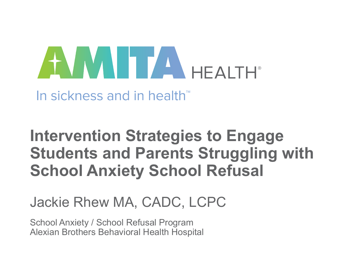# AWN TANHEAITH

In sickness and in health™

#### **Intervention Strategies to Engage Students and Parents Struggling with School Anxiety School Refusal**

#### Jackie Rhew MA, CADC, LCPC

School Anxiety / School Refusal Program Alexian Brothers Behavioral Health Hospital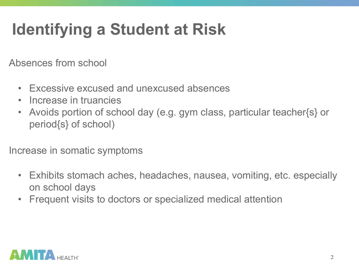## **Identifying a Student at Risk**

Absences from school

- Excessive excused and unexcused absences
- Increase in truancies
- Avoids portion of school day (e.g. gym class, particular teacher{s} or period{s} of school)

Increase in somatic symptoms

- Exhibits stomach aches, headaches, nausea, vomiting, etc. especially on school days
- Frequent visits to doctors or specialized medical attention

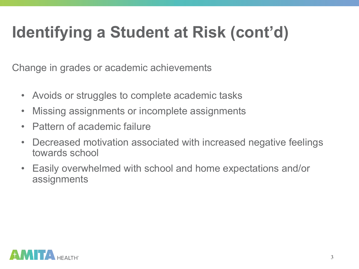# **Identifying a Student at Risk (cont'd)**

Change in grades or academic achievements

- Avoids or struggles to complete academic tasks
- Missing assignments or incomplete assignments
- Pattern of academic failure
- Decreased motivation associated with increased negative feelings towards school
- Easily overwhelmed with school and home expectations and/or assignments

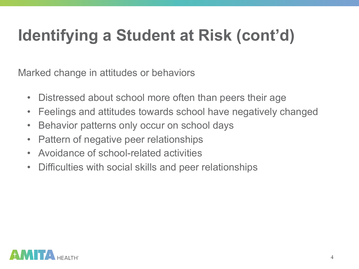# **Identifying a Student at Risk (cont'd)**

Marked change in attitudes or behaviors

- Distressed about school more often than peers their age
- Feelings and attitudes towards school have negatively changed
- Behavior patterns only occur on school days
- Pattern of negative peer relationships
- Avoidance of school-related activities
- Difficulties with social skills and peer relationships

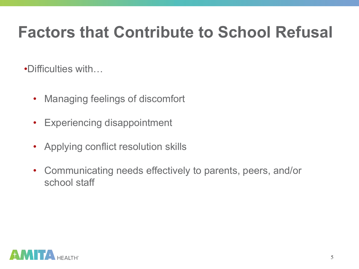#### **Factors that Contribute to School Refusal**

•Difficulties with…

- Managing feelings of discomfort
- Experiencing disappointment
- Applying conflict resolution skills
- Communicating needs effectively to parents, peers, and/or school staff

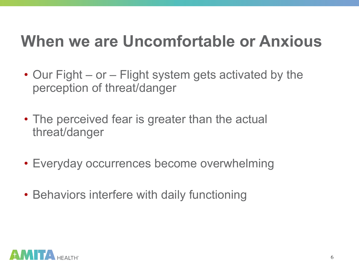#### **When we are Uncomfortable or Anxious**

- Our Fight or Flight system gets activated by the perception of threat/danger
- The perceived fear is greater than the actual threat/danger
- Everyday occurrences become overwhelming
- Behaviors interfere with daily functioning

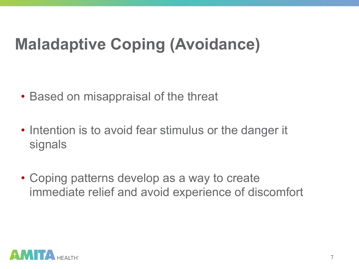#### **Maladaptive Coping (Avoidance)**

- Based on misappraisal of the threat
- Intention is to avoid fear stimulus or the danger it signals
- Coping patterns develop as a way to create immediate relief and avoid experience of discomfort

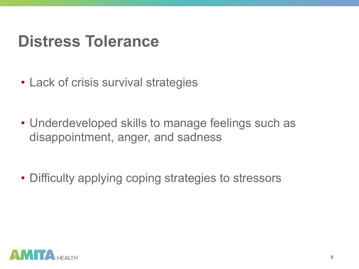#### **Distress Tolerance**

- Lack of crisis survival strategies
- Underdeveloped skills to manage feelings such as disappointment, anger, and sadness

• Difficulty applying coping strategies to stressors

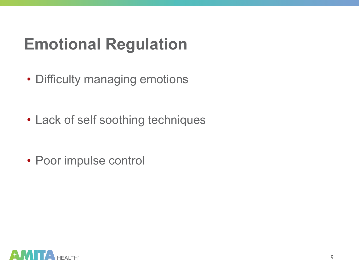#### **Emotional Regulation**

- Difficulty managing emotions
- Lack of self soothing techniques
- Poor impulse control

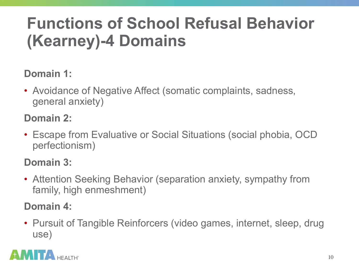#### **Functions of School Refusal Behavior (Kearney)-4 Domains**

#### **Domain 1:**

• Avoidance of Negative Affect (somatic complaints, sadness, general anxiety)

#### **Domain 2:**

• Escape from Evaluative or Social Situations (social phobia, OCD perfectionism)

#### **Domain 3:**

• Attention Seeking Behavior (separation anxiety, sympathy from family, high enmeshment)

#### **Domain 4:**

• Pursuit of Tangible Reinforcers (video games, internet, sleep, drug use)

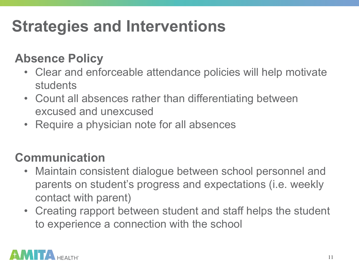## **Strategies and Interventions**

#### **Absence Policy**

- Clear and enforceable attendance policies will help motivate students
- Count all absences rather than differentiating between excused and unexcused
- Require a physician note for all absences

#### **Communication**

- Maintain consistent dialogue between school personnel and parents on student's progress and expectations (i.e. weekly contact with parent)
- Creating rapport between student and staff helps the student to experience a connection with the school

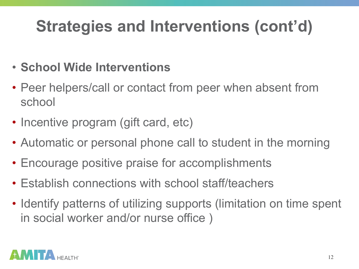- **School Wide Interventions**
- Peer helpers/call or contact from peer when absent from school
- Incentive program (gift card, etc)
- Automatic or personal phone call to student in the morning
- Encourage positive praise for accomplishments
- Establish connections with school staff/teachers
- Identify patterns of utilizing supports (limitation on time spent in social worker and/or nurse office )

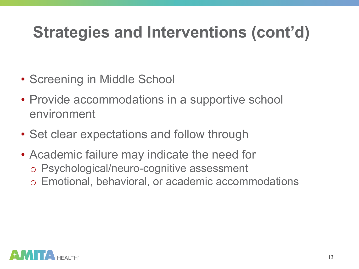- Screening in Middle School
- Provide accommodations in a supportive school environment
- Set clear expectations and follow through
- Academic failure may indicate the need for o Psychological/neuro-cognitive assessment o Emotional, behavioral, or academic accommodations

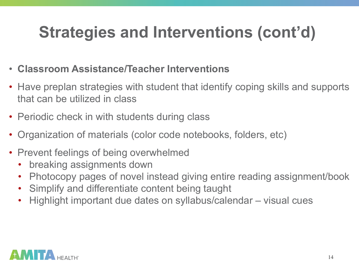- **Classroom Assistance/Teacher Interventions**
- Have preplan strategies with student that identify coping skills and supports that can be utilized in class
- Periodic check in with students during class
- Organization of materials (color code notebooks, folders, etc)
- Prevent feelings of being overwhelmed
	- breaking assignments down
	- Photocopy pages of novel instead giving entire reading assignment/book
	- Simplify and differentiate content being taught
	- Highlight important due dates on syllabus/calendar visual cues

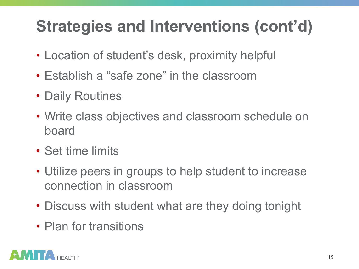- Location of student's desk, proximity helpful
- Establish a "safe zone" in the classroom
- Daily Routines
- Write class objectives and classroom schedule on board
- Set time limits
- Utilize peers in groups to help student to increase connection in classroom
- Discuss with student what are they doing tonight
- Plan for transitions

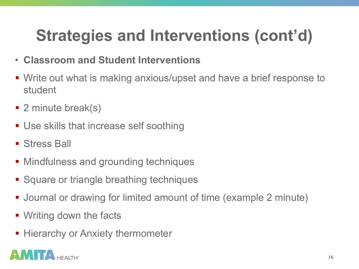- **Classroom and Student Interventions**
- Write out what is making anxious/upset and have a brief response to student
- 2 minute break(s)
- Use skills that increase self soothing
- Stress Ball
- Mindfulness and grounding techniques
- Square or triangle breathing techniques
- Journal or drawing for limited amount of time (example 2 minute)
- Writing down the facts
- Hierarchy or Anxiety thermometer

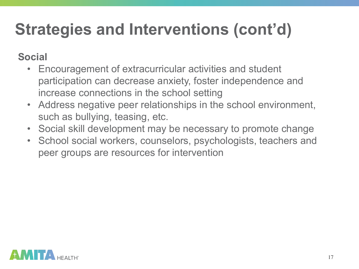#### **Social**

- Encouragement of extracurricular activities and student participation can decrease anxiety, foster independence and increase connections in the school setting
- Address negative peer relationships in the school environment, such as bullying, teasing, etc.
- Social skill development may be necessary to promote change
- School social workers, counselors, psychologists, teachers and peer groups are resources for intervention

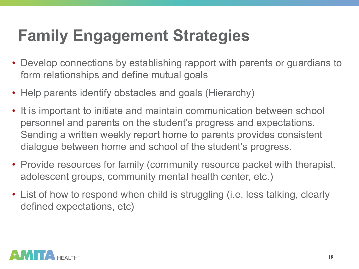## **Family Engagement Strategies**

- Develop connections by establishing rapport with parents or guardians to form relationships and define mutual goals
- Help parents identify obstacles and goals (Hierarchy)
- It is important to initiate and maintain communication between school personnel and parents on the student's progress and expectations. Sending a written weekly report home to parents provides consistent dialogue between home and school of the student's progress.
- Provide resources for family (community resource packet with therapist, adolescent groups, community mental health center, etc.)
- List of how to respond when child is struggling (i.e. less talking, clearly defined expectations, etc)

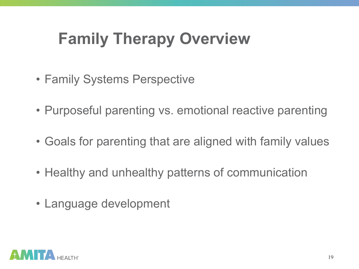#### **Family Therapy Overview**

- Family Systems Perspective
- Purposeful parenting vs. emotional reactive parenting
- Goals for parenting that are aligned with family values
- Healthy and unhealthy patterns of communication
- Language development

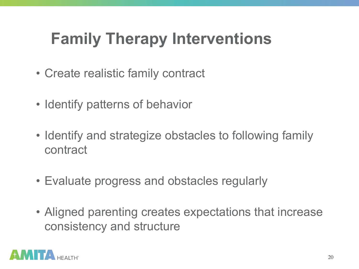## **Family Therapy Interventions**

- Create realistic family contract
- Identify patterns of behavior
- Identify and strategize obstacles to following family contract
- Evaluate progress and obstacles regularly
- Aligned parenting creates expectations that increase consistency and structure

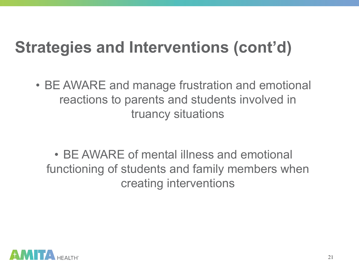• BE AWARE and manage frustration and emotional reactions to parents and students involved in truancy situations

• BE AWARE of mental illness and emotional functioning of students and family members when creating interventions

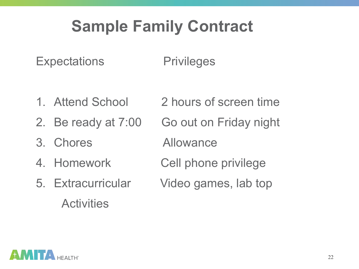#### **Sample Family Contract**

Expectations Privileges

- 1. Attend School 2 hours of screen time
- 
- 3. Chores Allowance
- 
- **Activities**
- 2. Be ready at 7:00 Go out on Friday night
	-
- 4. Homework Cell phone privilege
- 5. Extracurricular Video games, lab top

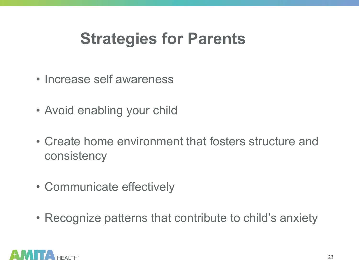#### **Strategies for Parents**

- Increase self awareness
- Avoid enabling your child
- Create home environment that fosters structure and consistency
- Communicate effectively
- Recognize patterns that contribute to child's anxiety

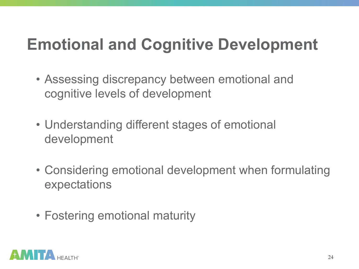#### **Emotional and Cognitive Development**

- Assessing discrepancy between emotional and cognitive levels of development
- Understanding different stages of emotional development
- Considering emotional development when formulating expectations
- Fostering emotional maturity

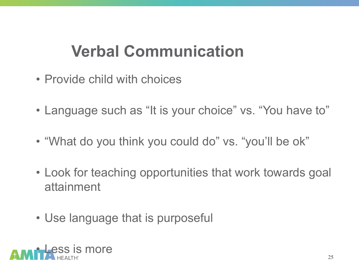#### **Verbal Communication**

- Provide child with choices
- Language such as "It is your choice" vs. "You have to"
- "What do you think you could do" vs. "you'll be ok"
- Look for teaching opportunities that work towards goal attainment
- Use language that is purposeful

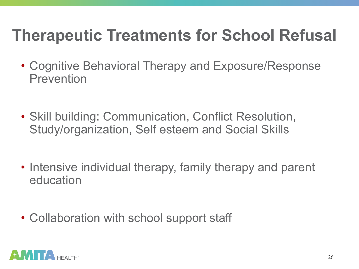#### **Therapeutic Treatments for School Refusal**

- Cognitive Behavioral Therapy and Exposure/Response **Prevention**
- Skill building: Communication, Conflict Resolution, Study/organization, Self esteem and Social Skills
- Intensive individual therapy, family therapy and parent education
- Collaboration with school support staff

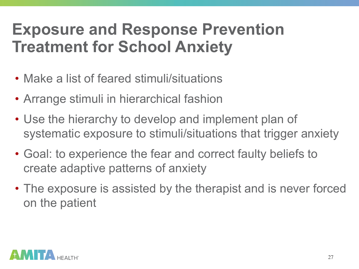#### **Exposure and Response Prevention Treatment for School Anxiety**

- Make a list of feared stimuli/situations
- Arrange stimuli in hierarchical fashion
- Use the hierarchy to develop and implement plan of systematic exposure to stimuli/situations that trigger anxiety
- Goal: to experience the fear and correct faulty beliefs to create adaptive patterns of anxiety
- The exposure is assisted by the therapist and is never forced on the patient

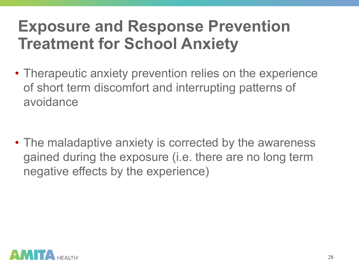#### **Exposure and Response Prevention Treatment for School Anxiety**

• Therapeutic anxiety prevention relies on the experience of short term discomfort and interrupting patterns of avoidance

• The maladaptive anxiety is corrected by the awareness gained during the exposure (i.e. there are no long term negative effects by the experience)

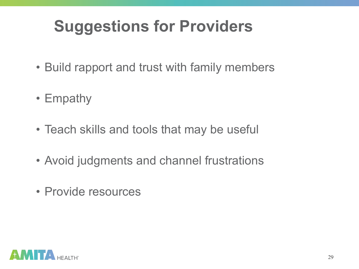## **Suggestions for Providers**

- Build rapport and trust with family members
- Empathy
- Teach skills and tools that may be useful
- Avoid judgments and channel frustrations
- Provide resources

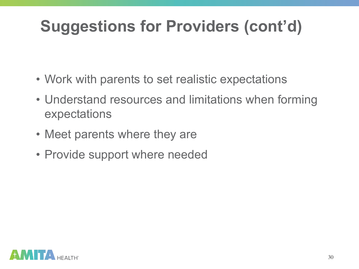# **Suggestions for Providers (cont'd)**

- Work with parents to set realistic expectations
- Understand resources and limitations when forming expectations
- Meet parents where they are
- Provide support where needed

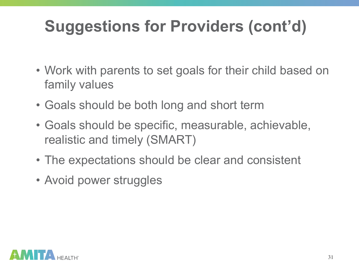# **Suggestions for Providers (cont'd)**

- Work with parents to set goals for their child based on family values
- Goals should be both long and short term
- Goals should be specific, measurable, achievable, realistic and timely (SMART)
- The expectations should be clear and consistent
- Avoid power struggles